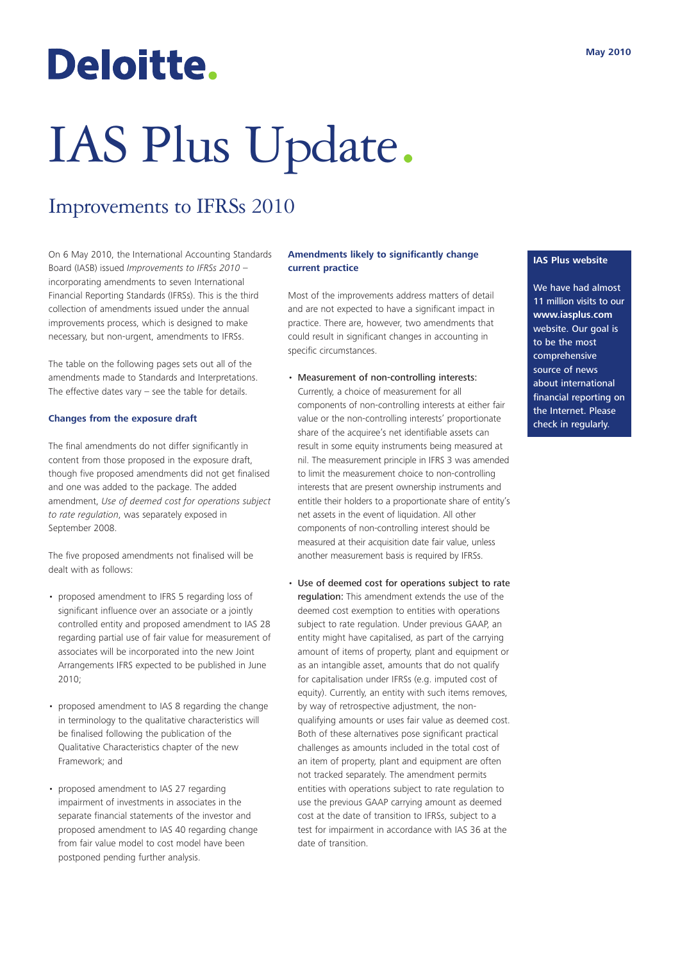## Deloitte.

# IAS Plus Update.

### Improvements to IFRSs 2010

On 6 May 2010, the International Accounting Standards Board (IASB) issued *Improvements to IFRSs 2010* – incorporating amendments to seven International Financial Reporting Standards (IFRSs). This is the third collection of amendments issued under the annual improvements process, which is designed to make necessary, but non-urgent, amendments to IFRSs.

The table on the following pages sets out all of the amendments made to Standards and Interpretations. The effective dates vary – see the table for details.

#### **Changes from the exposure draft**

The final amendments do not differ significantly in content from those proposed in the exposure draft, though five proposed amendments did not get finalised and one was added to the package. The added amendment, *Use of deemed cost for operations subject to rate regulation*, was separately exposed in September 2008.

The five proposed amendments not finalised will be dealt with as follows:

- proposed amendment to IFRS 5 regarding loss of significant influence over an associate or a jointly controlled entity and proposed amendment to IAS 28 regarding partial use of fair value for measurement of associates will be incorporated into the new Joint Arrangements IFRS expected to be published in June 2010;
- proposed amendment to IAS 8 regarding the change in terminology to the qualitative characteristics will be finalised following the publication of the Qualitative Characteristics chapter of the new Framework; and
- proposed amendment to IAS 27 regarding impairment of investments in associates in the separate financial statements of the investor and proposed amendment to IAS 40 regarding change from fair value model to cost model have been postponed pending further analysis.

#### **Amendments likely to significantly change current practice**

Most of the improvements address matters of detail and are not expected to have a significant impact in practice. There are, however, two amendments that could result in significant changes in accounting in specific circumstances.

- Measurement of non-controlling interests: Currently, a choice of measurement for all components of non-controlling interests at either fair value or the non-controlling interests' proportionate share of the acquiree's net identifiable assets can result in some equity instruments being measured at nil. The measurement principle in IFRS 3 was amended to limit the measurement choice to non-controlling interests that are present ownership instruments and entitle their holders to a proportionate share of entity's net assets in the event of liquidation. All other components of non-controlling interest should be measured at their acquisition date fair value, unless another measurement basis is required by IFRSs.
- Use of deemed cost for operations subject to rate regulation: This amendment extends the use of the deemed cost exemption to entities with operations subject to rate regulation. Under previous GAAP, an entity might have capitalised, as part of the carrying amount of items of property, plant and equipment or as an intangible asset, amounts that do not qualify for capitalisation under IFRSs (e.g. imputed cost of equity). Currently, an entity with such items removes, by way of retrospective adjustment, the nonqualifying amounts or uses fair value as deemed cost. Both of these alternatives pose significant practical challenges as amounts included in the total cost of an item of property, plant and equipment are often not tracked separately. The amendment permits entities with operations subject to rate regulation to use the previous GAAP carrying amount as deemed cost at the date of transition to IFRSs, subject to a test for impairment in accordance with IAS 36 at the date of transition.

#### **IAS Plus website**

We have had almost 11 million visits to our **www.iasplus.com** website. Our goal is to be the most comprehensive source of news about international financial reporting on the Internet. Please check in regularly.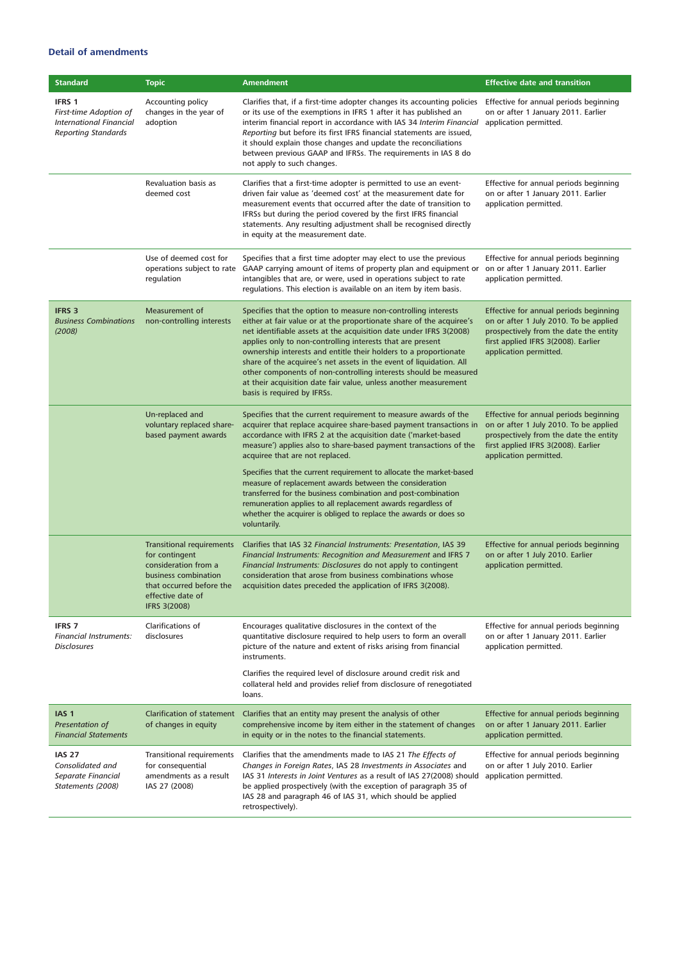#### **Detail of amendments**

| <b>Standard</b>                                                                                  | <b>Topic</b>                                                                                                                                                               | Amendment                                                                                                                                                                                                                                                                                                                                                                                                                                                                                                                                                                                    | <b>Effective date and transition</b>                                                                                                                                                        |
|--------------------------------------------------------------------------------------------------|----------------------------------------------------------------------------------------------------------------------------------------------------------------------------|----------------------------------------------------------------------------------------------------------------------------------------------------------------------------------------------------------------------------------------------------------------------------------------------------------------------------------------------------------------------------------------------------------------------------------------------------------------------------------------------------------------------------------------------------------------------------------------------|---------------------------------------------------------------------------------------------------------------------------------------------------------------------------------------------|
| IFRS 1<br>First-time Adoption of<br><b>International Financial</b><br><b>Reporting Standards</b> | Accounting policy<br>changes in the year of<br>adoption                                                                                                                    | Clarifies that, if a first-time adopter changes its accounting policies<br>or its use of the exemptions in IFRS 1 after it has published an<br>interim financial report in accordance with IAS 34 Interim Financial<br>Reporting but before its first IFRS financial statements are issued,<br>it should explain those changes and update the reconciliations<br>between previous GAAP and IFRSs. The requirements in IAS 8 do<br>not apply to such changes.                                                                                                                                 | Effective for annual periods beginning<br>on or after 1 January 2011. Earlier<br>application permitted.                                                                                     |
|                                                                                                  | Revaluation basis as<br>deemed cost                                                                                                                                        | Clarifies that a first-time adopter is permitted to use an event-<br>driven fair value as 'deemed cost' at the measurement date for<br>measurement events that occurred after the date of transition to<br>IFRSs but during the period covered by the first IFRS financial<br>statements. Any resulting adjustment shall be recognised directly<br>in equity at the measurement date.                                                                                                                                                                                                        | Effective for annual periods beginning<br>on or after 1 January 2011. Earlier<br>application permitted.                                                                                     |
|                                                                                                  | Use of deemed cost for<br>operations subject to rate<br>regulation                                                                                                         | Specifies that a first time adopter may elect to use the previous<br>GAAP carrying amount of items of property plan and equipment or<br>intangibles that are, or were, used in operations subject to rate<br>regulations. This election is available on an item by item basis.                                                                                                                                                                                                                                                                                                               | Effective for annual periods beginning<br>on or after 1 January 2011. Earlier<br>application permitted.                                                                                     |
| <b>IFRS 3</b><br><b>Business Combinations</b><br>(2008)                                          | Measurement of<br>non-controlling interests                                                                                                                                | Specifies that the option to measure non-controlling interests<br>either at fair value or at the proportionate share of the acquiree's<br>net identifiable assets at the acquisition date under IFRS 3(2008)<br>applies only to non-controlling interests that are present<br>ownership interests and entitle their holders to a proportionate<br>share of the acquiree's net assets in the event of liquidation. All<br>other components of non-controlling interests should be measured<br>at their acquisition date fair value, unless another measurement<br>basis is required by IFRSs. | Effective for annual periods beginning<br>on or after 1 July 2010. To be applied<br>prospectively from the date the entity<br>first applied IFRS 3(2008). Earlier<br>application permitted. |
|                                                                                                  | Un-replaced and<br>voluntary replaced share-<br>based payment awards                                                                                                       | Specifies that the current requirement to measure awards of the<br>acquirer that replace acquiree share-based payment transactions in<br>accordance with IFRS 2 at the acquisition date ('market-based<br>measure') applies also to share-based payment transactions of the<br>acquiree that are not replaced.                                                                                                                                                                                                                                                                               | Effective for annual periods beginning<br>on or after 1 July 2010. To be applied<br>prospectively from the date the entity<br>first applied IFRS 3(2008). Earlier<br>application permitted. |
|                                                                                                  |                                                                                                                                                                            | Specifies that the current requirement to allocate the market-based<br>measure of replacement awards between the consideration<br>transferred for the business combination and post-combination<br>remuneration applies to all replacement awards regardless of<br>whether the acquirer is obliged to replace the awards or does so<br>voluntarily.                                                                                                                                                                                                                                          |                                                                                                                                                                                             |
|                                                                                                  | <b>Transitional requirements</b><br>for contingent<br>consideration from a<br>business combination<br>that occurred before the<br>effective date of<br><b>IFRS 3(2008)</b> | Clarifies that IAS 32 Financial Instruments: Presentation, IAS 39<br>Financial Instruments: Recognition and Measurement and IFRS 7<br>Financial Instruments: Disclosures do not apply to contingent<br>consideration that arose from business combinations whose<br>acquisition dates preceded the application of IFRS 3(2008).                                                                                                                                                                                                                                                              | Effective for annual periods beginning<br>on or after 1 July 2010. Earlier<br>application permitted.                                                                                        |
| <b>IFRS 7</b><br><b>Financial Instruments:</b><br><b>Disclosures</b>                             | Clarifications of<br>disclosures                                                                                                                                           | Encourages qualitative disclosures in the context of the<br>quantitative disclosure required to help users to form an overall<br>picture of the nature and extent of risks arising from financial<br>instruments.                                                                                                                                                                                                                                                                                                                                                                            | Effective for annual periods beginning<br>on or after 1 January 2011. Earlier<br>application permitted.                                                                                     |
|                                                                                                  |                                                                                                                                                                            | Clarifies the required level of disclosure around credit risk and<br>collateral held and provides relief from disclosure of renegotiated<br>loans.                                                                                                                                                                                                                                                                                                                                                                                                                                           |                                                                                                                                                                                             |
| IAS <sub>1</sub><br>Presentation of<br><b>Financial Statements</b>                               | <b>Clarification of statement</b><br>of changes in equity                                                                                                                  | Clarifies that an entity may present the analysis of other<br>comprehensive income by item either in the statement of changes<br>in equity or in the notes to the financial statements.                                                                                                                                                                                                                                                                                                                                                                                                      | Effective for annual periods beginning<br>on or after 1 January 2011. Earlier<br>application permitted.                                                                                     |
| <b>IAS 27</b><br>Consolidated and<br>Separate Financial<br>Statements (2008)                     | Transitional requirements<br>for consequential<br>amendments as a result<br>IAS 27 (2008)                                                                                  | Clarifies that the amendments made to IAS 21 The Effects of<br>Changes in Foreign Rates, IAS 28 Investments in Associates and<br>IAS 31 Interests in Joint Ventures as a result of IAS 27(2008) should<br>be applied prospectively (with the exception of paragraph 35 of<br>IAS 28 and paragraph 46 of IAS 31, which should be applied<br>retrospectively).                                                                                                                                                                                                                                 | Effective for annual periods beginning<br>on or after 1 July 2010. Earlier<br>application permitted.                                                                                        |